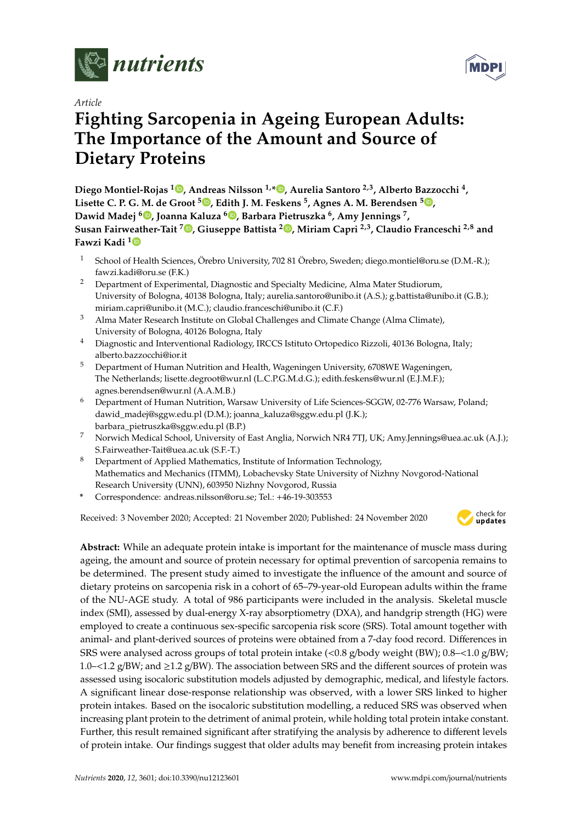

*Article*

# **Fighting Sarcopenia in Ageing European Adults: The Importance of the Amount and Source of Dietary Proteins**

**Diego Montiel-Rojas <sup>1</sup> [,](https://orcid.org/0000-0003-3268-1544) Andreas Nilsson 1,\* [,](https://orcid.org/0000-0003-3793-335X) Aurelia Santoro 2,3, Alberto Bazzocchi <sup>4</sup> , Lisette C. P. G. M. de Groot <sup>5</sup> [,](https://orcid.org/0000-0003-2778-2789) Edith J. M. Feskens <sup>5</sup> , Agnes A. M. Berendsen <sup>5</sup> [,](https://orcid.org/0000-0003-3459-0603) Dawid Madej <sup>6</sup> [,](https://orcid.org/0000-0001-9096-4767) Joanna Kaluza <sup>6</sup> [,](https://orcid.org/0000-0001-9454-0929) Barbara Pietruszka <sup>6</sup> , Amy Jennings <sup>7</sup> , Susan Fairweather-Tait <sup>7</sup> [,](https://orcid.org/0000-0002-1413-5569) Giuseppe Battista <sup>2</sup> [,](https://orcid.org/0000-0003-3639-3494) Miriam Capri 2,3, Claudio Franceschi 2,8 and Fawzi Kadi [1](https://orcid.org/0000-0002-9831-0896)**

- <sup>1</sup> School of Health Sciences, Örebro University, 702 81 Örebro, Sweden; diego.montiel@oru.se (D.M.-R.); fawzi.kadi@oru.se (F.K.)
- <sup>2</sup> Department of Experimental, Diagnostic and Specialty Medicine, Alma Mater Studiorum, University of Bologna, 40138 Bologna, Italy; aurelia.santoro@unibo.it (A.S.); g.battista@unibo.it (G.B.); miriam.capri@unibo.it (M.C.); claudio.franceschi@unibo.it (C.F.)
- <sup>3</sup> Alma Mater Research Institute on Global Challenges and Climate Change (Alma Climate), University of Bologna, 40126 Bologna, Italy
- <sup>4</sup> Diagnostic and Interventional Radiology, IRCCS Istituto Ortopedico Rizzoli, 40136 Bologna, Italy; alberto.bazzocchi@ior.it
- <sup>5</sup> Department of Human Nutrition and Health, Wageningen University, 6708WE Wageningen, The Netherlands; lisette.degroot@wur.nl (L.C.P.G.M.d.G.); edith.feskens@wur.nl (E.J.M.F.); agnes.berendsen@wur.nl (A.A.M.B.)
- <sup>6</sup> Department of Human Nutrition, Warsaw University of Life Sciences-SGGW, 02-776 Warsaw, Poland; dawid\_madej@sggw.edu.pl (D.M.); joanna\_kaluza@sggw.edu.pl (J.K.); barbara\_pietruszka@sggw.edu.pl (B.P.)
- <sup>7</sup> Norwich Medical School, University of East Anglia, Norwich NR4 7TJ, UK; Amy.Jennings@uea.ac.uk (A.J.); S.Fairweather-Tait@uea.ac.uk (S.F.-T.)
- <sup>8</sup> Department of Applied Mathematics, Institute of Information Technology, Mathematics and Mechanics (ITMM), Lobachevsky State University of Nizhny Novgorod-National Research University (UNN), 603950 Nizhny Novgorod, Russia
- **\*** Correspondence: andreas.nilsson@oru.se; Tel.: +46-19-303553

Received: 3 November 2020; Accepted: 21 November 2020; Published: 24 November 2020



**Abstract:** While an adequate protein intake is important for the maintenance of muscle mass during ageing, the amount and source of protein necessary for optimal prevention of sarcopenia remains to be determined. The present study aimed to investigate the influence of the amount and source of dietary proteins on sarcopenia risk in a cohort of 65–79-year-old European adults within the frame of the NU-AGE study. A total of 986 participants were included in the analysis. Skeletal muscle index (SMI), assessed by dual-energy X-ray absorptiometry (DXA), and handgrip strength (HG) were employed to create a continuous sex-specific sarcopenia risk score (SRS). Total amount together with animal- and plant-derived sources of proteins were obtained from a 7-day food record. Differences in SRS were analysed across groups of total protein intake (<0.8 g/body weight (BW); 0.8–<1.0 g/BW; 1.0−<1.2  $g/BW$ ; and ≥1.2  $g/BW$ ). The association between SRS and the different sources of protein was assessed using isocaloric substitution models adjusted by demographic, medical, and lifestyle factors. A significant linear dose-response relationship was observed, with a lower SRS linked to higher protein intakes. Based on the isocaloric substitution modelling, a reduced SRS was observed when increasing plant protein to the detriment of animal protein, while holding total protein intake constant. Further, this result remained significant after stratifying the analysis by adherence to different levels of protein intake. Our findings suggest that older adults may benefit from increasing protein intakes

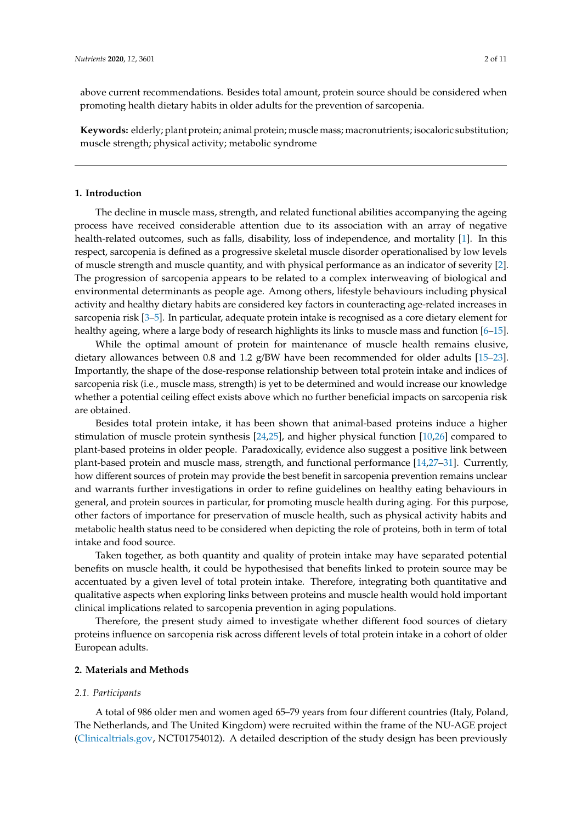above current recommendations. Besides total amount, protein source should be considered when promoting health dietary habits in older adults for the prevention of sarcopenia.

**Keywords:** elderly; plant protein; animal protein; muscle mass; macronutrients; isocaloric substitution; muscle strength; physical activity; metabolic syndrome

#### **1. Introduction**

The decline in muscle mass, strength, and related functional abilities accompanying the ageing process have received considerable attention due to its association with an array of negative health-related outcomes, such as falls, disability, loss of independence, and mortality [\[1\]](#page-7-0). In this respect, sarcopenia is defined as a progressive skeletal muscle disorder operationalised by low levels of muscle strength and muscle quantity, and with physical performance as an indicator of severity [\[2\]](#page-7-1). The progression of sarcopenia appears to be related to a complex interweaving of biological and environmental determinants as people age. Among others, lifestyle behaviours including physical activity and healthy dietary habits are considered key factors in counteracting age-related increases in sarcopenia risk [\[3–](#page-7-2)[5\]](#page-7-3). In particular, adequate protein intake is recognised as a core dietary element for healthy ageing, where a large body of research highlights its links to muscle mass and function [\[6–](#page-7-4)[15\]](#page-7-5).

While the optimal amount of protein for maintenance of muscle health remains elusive, dietary allowances between 0.8 and 1.2 g/BW have been recommended for older adults [\[15–](#page-7-5)[23\]](#page-8-0). Importantly, the shape of the dose-response relationship between total protein intake and indices of sarcopenia risk (i.e., muscle mass, strength) is yet to be determined and would increase our knowledge whether a potential ceiling effect exists above which no further beneficial impacts on sarcopenia risk are obtained.

Besides total protein intake, it has been shown that animal-based proteins induce a higher stimulation of muscle protein synthesis [\[24](#page-8-1)[,25\]](#page-8-2), and higher physical function [\[10](#page-7-6)[,26\]](#page-8-3) compared to plant-based proteins in older people. Paradoxically, evidence also suggest a positive link between plant-based protein and muscle mass, strength, and functional performance [\[14,](#page-7-7)[27–](#page-8-4)[31\]](#page-8-5). Currently, how different sources of protein may provide the best benefit in sarcopenia prevention remains unclear and warrants further investigations in order to refine guidelines on healthy eating behaviours in general, and protein sources in particular, for promoting muscle health during aging. For this purpose, other factors of importance for preservation of muscle health, such as physical activity habits and metabolic health status need to be considered when depicting the role of proteins, both in term of total intake and food source.

Taken together, as both quantity and quality of protein intake may have separated potential benefits on muscle health, it could be hypothesised that benefits linked to protein source may be accentuated by a given level of total protein intake. Therefore, integrating both quantitative and qualitative aspects when exploring links between proteins and muscle health would hold important clinical implications related to sarcopenia prevention in aging populations.

Therefore, the present study aimed to investigate whether different food sources of dietary proteins influence on sarcopenia risk across different levels of total protein intake in a cohort of older European adults.

# **2. Materials and Methods**

#### *2.1. Participants*

A total of 986 older men and women aged 65–79 years from four different countries (Italy, Poland, The Netherlands, and The United Kingdom) were recruited within the frame of the NU-AGE project [\(Clinicaltrials.gov,](Clinicaltrials.gov) NCT01754012). A detailed description of the study design has been previously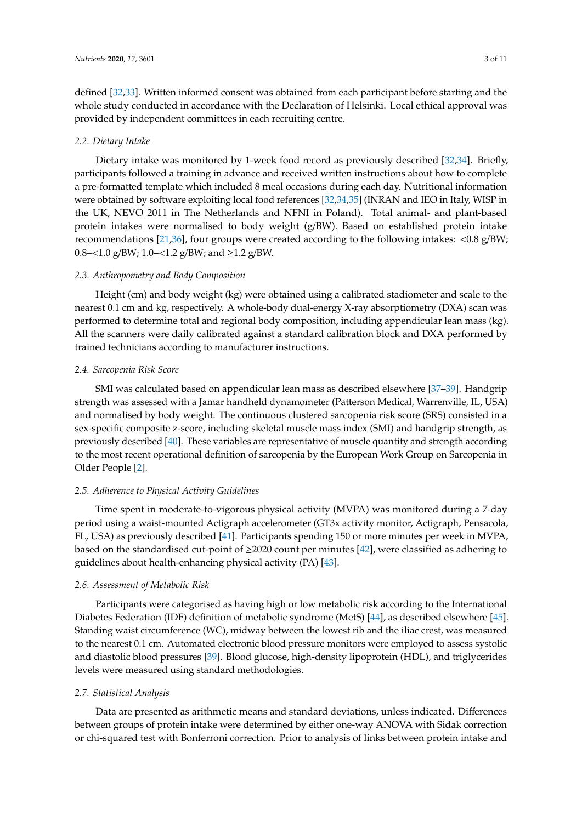defined [\[32,](#page-8-6)[33\]](#page-8-7). Written informed consent was obtained from each participant before starting and the whole study conducted in accordance with the Declaration of Helsinki. Local ethical approval was provided by independent committees in each recruiting centre.

# *2.2. Dietary Intake*

Dietary intake was monitored by 1-week food record as previously described [\[32,](#page-8-6)[34\]](#page-8-8). Briefly, participants followed a training in advance and received written instructions about how to complete a pre-formatted template which included 8 meal occasions during each day. Nutritional information were obtained by software exploiting local food references [\[32,](#page-8-6)[34,](#page-8-8)[35\]](#page-9-0) (INRAN and IEO in Italy, WISP in the UK, NEVO 2011 in The Netherlands and NFNI in Poland). Total animal- and plant-based protein intakes were normalised to body weight (g/BW). Based on established protein intake recommendations [\[21](#page-8-9)[,36\]](#page-9-1), four groups were created according to the following intakes: <0.8 g/BW; 0.8– $\lt 1.0$  g/BW; 1.0– $\lt 1.2$  g/BW; and  $\ge 1.2$  g/BW.

# *2.3. Anthropometry and Body Composition*

Height (cm) and body weight (kg) were obtained using a calibrated stadiometer and scale to the nearest 0.1 cm and kg, respectively. A whole-body dual-energy X-ray absorptiometry (DXA) scan was performed to determine total and regional body composition, including appendicular lean mass (kg). All the scanners were daily calibrated against a standard calibration block and DXA performed by trained technicians according to manufacturer instructions.

# *2.4. Sarcopenia Risk Score*

SMI was calculated based on appendicular lean mass as described elsewhere [\[37](#page-9-2)[–39\]](#page-9-3). Handgrip strength was assessed with a Jamar handheld dynamometer (Patterson Medical, Warrenville, IL, USA) and normalised by body weight. The continuous clustered sarcopenia risk score (SRS) consisted in a sex-specific composite z-score, including skeletal muscle mass index (SMI) and handgrip strength, as previously described [\[40\]](#page-9-4). These variables are representative of muscle quantity and strength according to the most recent operational definition of sarcopenia by the European Work Group on Sarcopenia in Older People [\[2\]](#page-7-1).

# *2.5. Adherence to Physical Activity Guidelines*

Time spent in moderate-to-vigorous physical activity (MVPA) was monitored during a 7-day period using a waist-mounted Actigraph accelerometer (GT3x activity monitor, Actigraph, Pensacola, FL, USA) as previously described [\[41\]](#page-9-5). Participants spending 150 or more minutes per week in MVPA, based on the standardised cut-point of  $\geq$  2020 count per minutes [\[42\]](#page-9-6), were classified as adhering to guidelines about health-enhancing physical activity (PA) [\[43\]](#page-9-7).

### *2.6. Assessment of Metabolic Risk*

Participants were categorised as having high or low metabolic risk according to the International Diabetes Federation (IDF) definition of metabolic syndrome (MetS) [\[44\]](#page-9-8), as described elsewhere [\[45\]](#page-9-9). Standing waist circumference (WC), midway between the lowest rib and the iliac crest, was measured to the nearest 0.1 cm. Automated electronic blood pressure monitors were employed to assess systolic and diastolic blood pressures [\[39\]](#page-9-3). Blood glucose, high-density lipoprotein (HDL), and triglycerides levels were measured using standard methodologies.

### *2.7. Statistical Analysis*

Data are presented as arithmetic means and standard deviations, unless indicated. Differences between groups of protein intake were determined by either one-way ANOVA with Sidak correction or chi-squared test with Bonferroni correction. Prior to analysis of links between protein intake and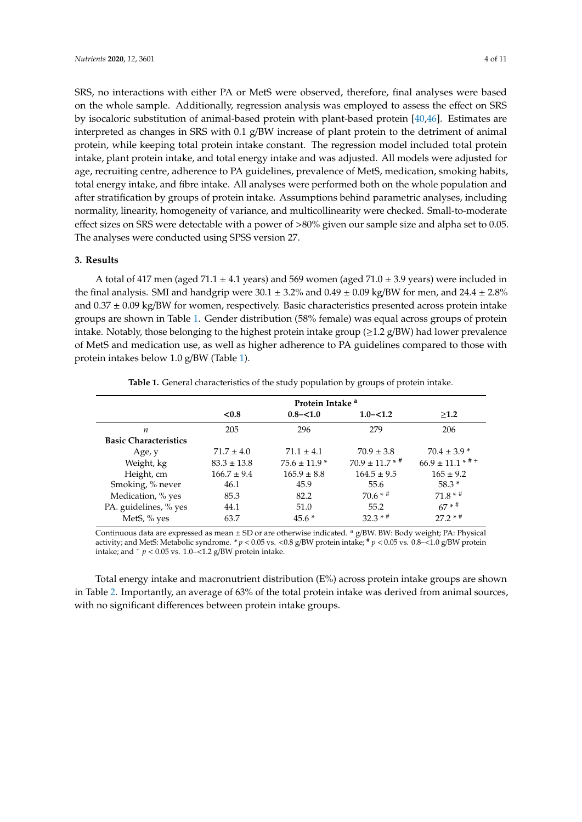SRS, no interactions with either PA or MetS were observed, therefore, final analyses were based on the whole sample. Additionally, regression analysis was employed to assess the effect on SRS by isocaloric substitution of animal-based protein with plant-based protein [\[40](#page-9-4)[,46\]](#page-9-10). Estimates are interpreted as changes in SRS with 0.1 g/BW increase of plant protein to the detriment of animal protein, while keeping total protein intake constant. The regression model included total protein intake, plant protein intake, and total energy intake and was adjusted. All models were adjusted for age, recruiting centre, adherence to PA guidelines, prevalence of MetS, medication, smoking habits, total energy intake, and fibre intake. All analyses were performed both on the whole population and after stratification by groups of protein intake. Assumptions behind parametric analyses, including normality, linearity, homogeneity of variance, and multicollinearity were checked. Small-to-moderate effect sizes on SRS were detectable with a power of >80% given our sample size and alpha set to 0.05. The analyses were conducted using SPSS version 27.

# **3. Results**

A total of 417 men (aged 71.1  $\pm$  4.1 years) and 569 women (aged 71.0  $\pm$  3.9 years) were included in the final analysis. SMI and handgrip were  $30.1 \pm 3.2\%$  and  $0.49 \pm 0.09$  kg/BW for men, and  $24.4 \pm 2.8\%$ and  $0.37 \pm 0.09$  kg/BW for women, respectively. Basic characteristics presented across protein intake groups are shown in Table [1.](#page-3-0) Gender distribution (58% female) was equal across groups of protein intake. Notably, those belonging to the highest protein intake group ( $\geq$ 1.2 g/BW) had lower prevalence of MetS and medication use, as well as higher adherence to PA guidelines compared to those with protein intakes below 1.0 g/BW (Table [1\)](#page-3-0).

<span id="page-3-0"></span>

|                              | Protein Intake <sup>a</sup> |                  |                     |                             |
|------------------------------|-----------------------------|------------------|---------------------|-----------------------------|
|                              | < 0.8                       | $0.8 - 1.0$      | $1.0 - 1.2$         | >1.2                        |
| п                            | 205                         | 296              | 279                 | 206                         |
| <b>Basic Characteristics</b> |                             |                  |                     |                             |
| Age, y                       | $71.7 \pm 4.0$              | $71.1 \pm 4.1$   | $70.9 \pm 3.8$      | $70.4 \pm 3.9$ *            |
| Weight, kg                   | $83.3 \pm 13.8$             | $75.6 \pm 11.9*$ | $70.9 \pm 11.7$ * # | $66.9 \pm 11.1$ * $^{\#}$ + |
| Height, cm                   | $166.7 \pm 9.4$             | $165.9 \pm 8.8$  | $164.5 \pm 9.5$     | $165 \pm 9.2$               |
| Smoking, % never             | 46.1                        | 45.9             | 55.6                | $58.3*$                     |
| Medication, % yes            | 85.3                        | 82.2             | $70.6*$             | $71.8**$                    |
| PA. guidelines, % yes        | 44.1                        | 51.0             | 55.2                | $67 * #$                    |
| MetS, % yes                  | 63.7                        | $45.6*$          | $32.3$ * $#$        | $272 *$ #                   |

**Table 1.** General characteristics of the study population by groups of protein intake.

Continuous data are expressed as mean  $\pm$  SD or are otherwise indicated. <sup>a</sup> g/BW. BW: Body weight; PA: Physical activity; and MetS: Metabolic syndrome. \* *p* < 0.05 vs. <0.8 g/BW protein intake; # *p* < 0.05 vs. 0.8–<1.0 g/BW protein intake; and  $+p < 0.05$  vs.  $1.0 - < 1.2$  g/BW protein intake.

Total energy intake and macronutrient distribution (E%) across protein intake groups are shown in Table [2.](#page-4-0) Importantly, an average of 63% of the total protein intake was derived from animal sources, with no significant differences between protein intake groups.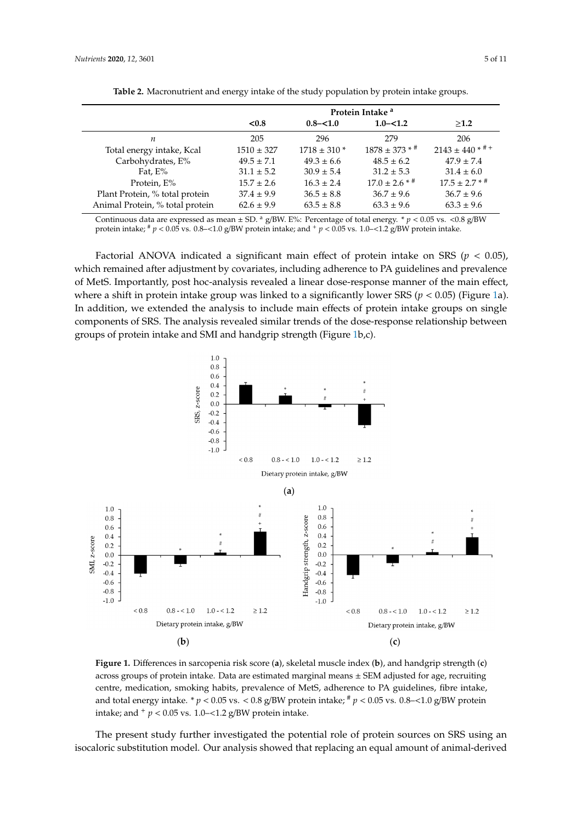<span id="page-4-0"></span>

| <b>TWEE</b> THREFORMETER and chergy make of the staay population by protein make groups. |                             |                 |                         |                                 |  |  |
|------------------------------------------------------------------------------------------|-----------------------------|-----------------|-------------------------|---------------------------------|--|--|
|                                                                                          | Protein Intake <sup>a</sup> |                 |                         |                                 |  |  |
|                                                                                          | < 0.8                       | $0.8 - 1.0$     | $1.0 - 1.2$             | >1.2                            |  |  |
| п                                                                                        | 205                         | 296             | 279                     | 206                             |  |  |
| Total energy intake, Kcal                                                                | $1510 \pm 327$              | $1718 \pm 310*$ | $1878 \pm 373$ * $^{*}$ | $2143 \pm 440$ * <sup># +</sup> |  |  |
| Carbohydrates, E%                                                                        | $49.5 \pm 7.1$              | $49.3 \pm 6.6$  | $48.5 \pm 6.2$          | $47.9 \pm 7.4$                  |  |  |
| Fat, $E%$                                                                                | $31.1 \pm 5.2$              | $30.9 \pm 5.4$  | $31.2 \pm 5.3$          | $31.4 \pm 6.0$                  |  |  |
| Protein, E%                                                                              | $15.7 \pm 2.6$              | $16.3 \pm 2.4$  | $17.0 \pm 2.6$ * $\#$   | $17.5 \pm 2.7$ * $^{#}$         |  |  |
| Plant Protein, % total protein                                                           | $37.4 \pm 9.9$              | $36.5 \pm 8.8$  | $36.7 \pm 9.6$          | $36.7 \pm 9.6$                  |  |  |
| Animal Protein, % total protein                                                          | $62.6 \pm 9.9$              | $63.5 \pm 8.8$  | $63.3 \pm 9.6$          | $63.3 \pm 9.6$                  |  |  |

**Table 2.** Macronutrient and energy intake of the study population by protein intake groups.

Continuous data are expressed as mean  $\pm$  SD. <sup>a</sup> g/BW. E%: Percentage of total energy.  $* p < 0.05$  vs. <0.8 g/BW protein intake;  $\# p$  < 0.05 vs. 0.8–<1.0 g/BW protein intake; and  $\# p$  < 0.05 vs. 1.0–<1.2 g/BW protein intake.

Factorial ANOVA indicated a significant main effect of protein intake on SRS ( $p < 0.05$ ), which remained after adjustment by covariates, including adherence to PA guidelines and prevalence of MetS. Importantly, post hoc-analysis revealed a linear dose-response manner of the main effect, MetS. Importantly, post hoc-analysis revealed a linear dose-response manner of the main effect, where a shift in protein intake group was linked to a significantly lower SRS ( $p < 0.05$ ) (Figure [1a](#page-4-1)). In addition, we extended the analysis to include main effects of protein intake groups on single components of SRS. The analysis revealed similar trends of the dose-response relationship between components of SRS. The analysis revealed similar trends of the dose-response relationship between groups of protein intake and SMI and handgrip strength (Figure [1b](#page-4-1),c). groups of protein intake and SMI and handgrip strength (Figure 1b,c).

<span id="page-4-1"></span>

Figure 1. Differences in sarcopenia risk score (a), skeletal muscle index (b), and handgrip strength (c) across groups of protein intake. Data are estimated marginal means ± SEM adjusted for age, recruiting across groups of protein intake. Data are estimated marginal means ± SEM adjusted for age, recruiting centre, medication, smoking habits, prevalence of MetS, adherence to PA guidelines, fibre intake, and total energy intake. \*  $p < 0.05$  vs.  $< 0.8$  g/BW protein intake;  $\# p < 0.05$  vs. 0.8–<1.0 g/BW protein intake; and  $^+$   $p < 0.05$  vs. 1.0–<1.2 g/BW protein intake.

The present study further investigated the potential role of protein sources on SRS using an isocaloric substitution model. Our analysis showed that replacing an equal amount of animal-derived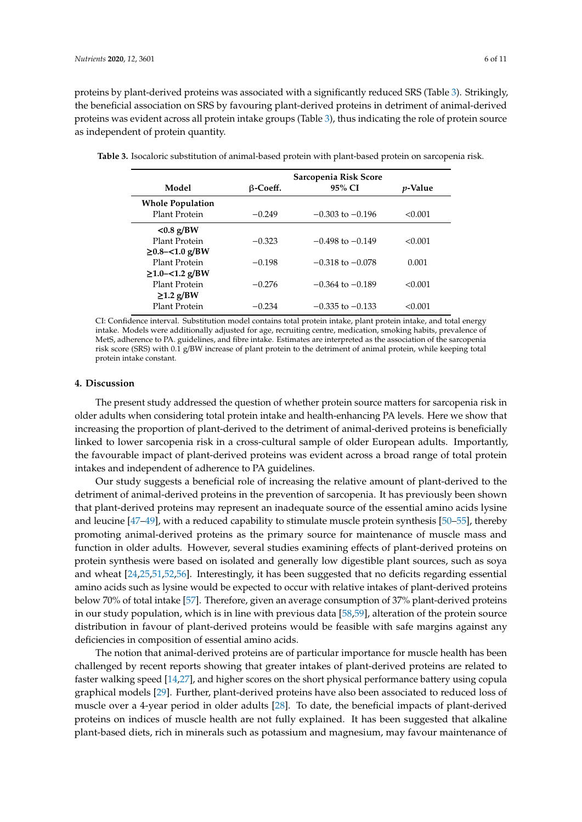proteins by plant-derived proteins was associated with a significantly reduced SRS (Table [3\)](#page-5-0). Strikingly, the beneficial association on SRS by favouring plant-derived proteins in detriment of animal-derived proteins was evident across all protein intake groups (Table [3\)](#page-5-0), thus indicating the role of protein source as independent of protein quantity.

| Model                   | Sarcopenia Risk Score<br>95% CI<br>B-Coeff.<br><i>v</i> -Value |                      |         |  |  |
|-------------------------|----------------------------------------------------------------|----------------------|---------|--|--|
| <b>Whole Population</b> |                                                                |                      |         |  |  |
| Plant Protein           | $-0.249$                                                       | $-0.303$ to $-0.196$ | < 0.001 |  |  |
| $< 0.8$ g/BW            |                                                                |                      |         |  |  |
| Plant Protein           | $-0.323$                                                       | $-0.498$ to $-0.149$ | <0.001  |  |  |
| $\geq$ 0.8–<1.0 g/BW    |                                                                |                      |         |  |  |
| Plant Protein           | $-0.198$                                                       | $-0.318$ to $-0.078$ | 0.001   |  |  |
| $\geq$ 1.0-<1.2 g/BW    |                                                                |                      |         |  |  |
| Plant Protein           | $-0.276$                                                       | $-0.364$ to $-0.189$ | < 0.001 |  |  |
| $\geq$ 1.2 g/BW         |                                                                |                      |         |  |  |
| Plant Protein           | $-0.234$                                                       | $-0.335$ to $-0.133$ | < 0.001 |  |  |

<span id="page-5-0"></span>**Table 3.** Isocaloric substitution of animal-based protein with plant-based protein on sarcopenia risk.

CI: Confidence interval. Substitution model contains total protein intake, plant protein intake, and total energy intake. Models were additionally adjusted for age, recruiting centre, medication, smoking habits, prevalence of MetS, adherence to PA. guidelines, and fibre intake. Estimates are interpreted as the association of the sarcopenia risk score (SRS) with 0.1 g/BW increase of plant protein to the detriment of animal protein, while keeping total protein intake constant.

#### **4. Discussion**

The present study addressed the question of whether protein source matters for sarcopenia risk in older adults when considering total protein intake and health-enhancing PA levels. Here we show that increasing the proportion of plant-derived to the detriment of animal-derived proteins is beneficially linked to lower sarcopenia risk in a cross-cultural sample of older European adults. Importantly, the favourable impact of plant-derived proteins was evident across a broad range of total protein intakes and independent of adherence to PA guidelines.

Our study suggests a beneficial role of increasing the relative amount of plant-derived to the detriment of animal-derived proteins in the prevention of sarcopenia. It has previously been shown that plant-derived proteins may represent an inadequate source of the essential amino acids lysine and leucine [\[47–](#page-9-11)[49\]](#page-9-12), with a reduced capability to stimulate muscle protein synthesis [\[50](#page-9-13)[–55\]](#page-10-0), thereby promoting animal-derived proteins as the primary source for maintenance of muscle mass and function in older adults. However, several studies examining effects of plant-derived proteins on protein synthesis were based on isolated and generally low digestible plant sources, such as soya and wheat [\[24,](#page-8-1)[25,](#page-8-2)[51,](#page-9-14)[52,](#page-9-15)[56\]](#page-10-1). Interestingly, it has been suggested that no deficits regarding essential amino acids such as lysine would be expected to occur with relative intakes of plant-derived proteins below 70% of total intake [\[57\]](#page-10-2). Therefore, given an average consumption of 37% plant-derived proteins in our study population, which is in line with previous data [\[58,](#page-10-3)[59\]](#page-10-4), alteration of the protein source distribution in favour of plant-derived proteins would be feasible with safe margins against any deficiencies in composition of essential amino acids.

The notion that animal-derived proteins are of particular importance for muscle health has been challenged by recent reports showing that greater intakes of plant-derived proteins are related to faster walking speed [\[14,](#page-7-7)[27\]](#page-8-4), and higher scores on the short physical performance battery using copula graphical models [\[29\]](#page-8-10). Further, plant-derived proteins have also been associated to reduced loss of muscle over a 4-year period in older adults [\[28\]](#page-8-11). To date, the beneficial impacts of plant-derived proteins on indices of muscle health are not fully explained. It has been suggested that alkaline plant-based diets, rich in minerals such as potassium and magnesium, may favour maintenance of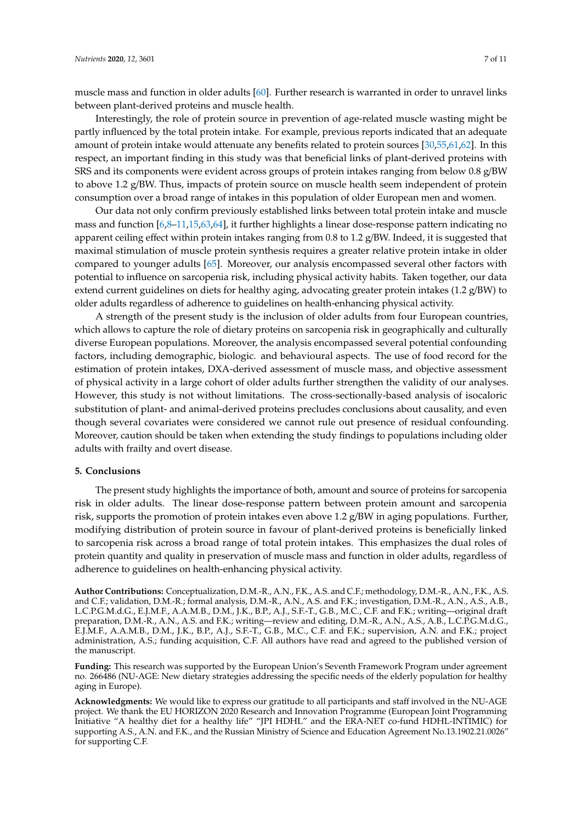muscle mass and function in older adults [\[60\]](#page-10-5). Further research is warranted in order to unravel links between plant-derived proteins and muscle health.

Interestingly, the role of protein source in prevention of age-related muscle wasting might be partly influenced by the total protein intake. For example, previous reports indicated that an adequate amount of protein intake would attenuate any benefits related to protein sources [\[30](#page-8-12)[,55](#page-10-0)[,61](#page-10-6)[,62\]](#page-10-7). In this respect, an important finding in this study was that beneficial links of plant-derived proteins with SRS and its components were evident across groups of protein intakes ranging from below 0.8 g/BW to above 1.2 g/BW. Thus, impacts of protein source on muscle health seem independent of protein consumption over a broad range of intakes in this population of older European men and women.

Our data not only confirm previously established links between total protein intake and muscle mass and function [\[6](#page-7-4)[,8–](#page-7-8)[11,](#page-7-9)[15,](#page-7-5)[63,](#page-10-8)[64\]](#page-10-9), it further highlights a linear dose-response pattern indicating no apparent ceiling effect within protein intakes ranging from 0.8 to 1.2 g/BW. Indeed, it is suggested that maximal stimulation of muscle protein synthesis requires a greater relative protein intake in older compared to younger adults [\[65\]](#page-10-10). Moreover, our analysis encompassed several other factors with potential to influence on sarcopenia risk, including physical activity habits. Taken together, our data extend current guidelines on diets for healthy aging, advocating greater protein intakes (1.2 g/BW) to older adults regardless of adherence to guidelines on health-enhancing physical activity.

A strength of the present study is the inclusion of older adults from four European countries, which allows to capture the role of dietary proteins on sarcopenia risk in geographically and culturally diverse European populations. Moreover, the analysis encompassed several potential confounding factors, including demographic, biologic. and behavioural aspects. The use of food record for the estimation of protein intakes, DXA-derived assessment of muscle mass, and objective assessment of physical activity in a large cohort of older adults further strengthen the validity of our analyses. However, this study is not without limitations. The cross-sectionally-based analysis of isocaloric substitution of plant- and animal-derived proteins precludes conclusions about causality, and even though several covariates were considered we cannot rule out presence of residual confounding. Moreover, caution should be taken when extending the study findings to populations including older adults with frailty and overt disease.

## **5. Conclusions**

The present study highlights the importance of both, amount and source of proteins for sarcopenia risk in older adults. The linear dose-response pattern between protein amount and sarcopenia risk, supports the promotion of protein intakes even above 1.2 g/BW in aging populations. Further, modifying distribution of protein source in favour of plant-derived proteins is beneficially linked to sarcopenia risk across a broad range of total protein intakes. This emphasizes the dual roles of protein quantity and quality in preservation of muscle mass and function in older adults, regardless of adherence to guidelines on health-enhancing physical activity.

**Funding:** This research was supported by the European Union's Seventh Framework Program under agreement no. 266486 (NU-AGE: New dietary strategies addressing the specific needs of the elderly population for healthy aging in Europe).

**Acknowledgments:** We would like to express our gratitude to all participants and staff involved in the NU-AGE project. We thank the EU HORIZON 2020 Research and Innovation Programme (European Joint Programming Initiative "A healthy diet for a healthy life" "JPI HDHL" and the ERA-NET co-fund HDHL-INTIMIC) for supporting A.S., A.N. and F.K., and the Russian Ministry of Science and Education Agreement No.13.1902.21.0026" for supporting C.F.

**Author Contributions:** Conceptualization, D.M.-R., A.N., F.K., A.S. and C.F.; methodology, D.M.-R., A.N., F.K., A.S. and C.F.; validation, D.M.-R.; formal analysis, D.M.-R., A.N., A.S. and F.K.; investigation, D.M.-R., A.N., A.S., A.B., L.C.P.G.M.d.G., E.J.M.F., A.A.M.B., D.M., J.K., B.P., A.J., S.F.-T., G.B., M.C., C.F. and F.K.; writing—original draft preparation, D.M.-R., A.N., A.S. and F.K.; writing—review and editing, D.M.-R., A.N., A.S., A.B., L.C.P.G.M.d.G., E.J.M.F., A.A.M.B., D.M., J.K., B.P., A.J., S.F.-T., G.B., M.C., C.F. and F.K.; supervision, A.N. and F.K.; project administration, A.S.; funding acquisition, C.F. All authors have read and agreed to the published version of the manuscript.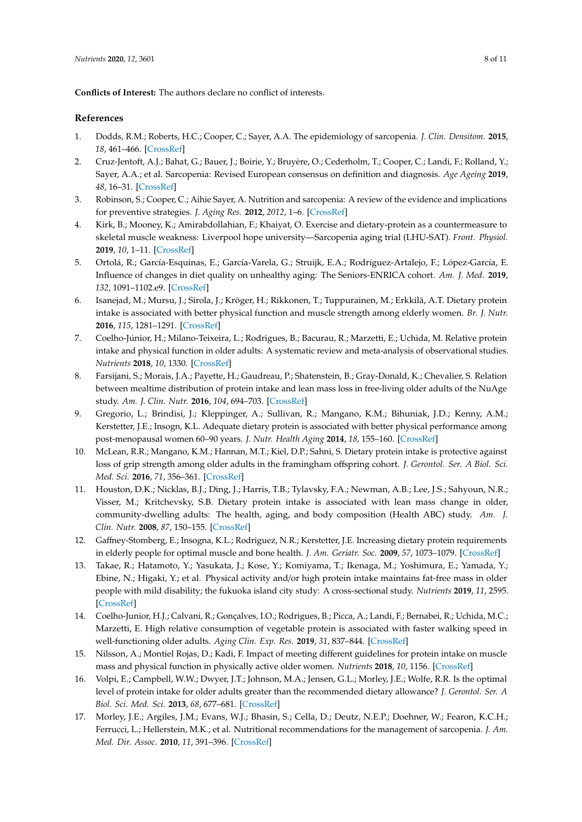**Conflicts of Interest:** The authors declare no conflict of interests.

# **References**

- <span id="page-7-0"></span>1. Dodds, R.M.; Roberts, H.C.; Cooper, C.; Sayer, A.A. The epidemiology of sarcopenia. *J. Clin. Densitom.* **2015**, *18*, 461–466. [\[CrossRef\]](http://dx.doi.org/10.1016/j.jocd.2015.04.012)
- <span id="page-7-1"></span>2. Cruz-Jentoft, A.J.; Bahat, G.; Bauer, J.; Boirie, Y.; Bruyère, O.; Cederholm, T.; Cooper, C.; Landi, F.; Rolland, Y.; Sayer, A.A.; et al. Sarcopenia: Revised European consensus on definition and diagnosis. *Age Ageing* **2019**, *48*, 16–31. [\[CrossRef\]](http://dx.doi.org/10.1093/ageing/afy169)
- <span id="page-7-2"></span>3. Robinson, S.; Cooper, C.; Aihie Sayer, A. Nutrition and sarcopenia: A review of the evidence and implications for preventive strategies. *J. Aging Res.* **2012**, *2012*, 1–6. [\[CrossRef\]](http://dx.doi.org/10.1155/2012/510801)
- 4. Kirk, B.; Mooney, K.; Amirabdollahian, F.; Khaiyat, O. Exercise and dietary-protein as a countermeasure to skeletal muscle weakness: Liverpool hope university—Sarcopenia aging trial (LHU-SAT). *Front. Physiol.* **2019**, *10*, 1–11. [\[CrossRef\]](http://dx.doi.org/10.3389/fphys.2019.00445)
- <span id="page-7-3"></span>5. Ortolá, R.; García-Esquinas, E.; García-Varela, G.; Struijk, E.A.; Rodríguez-Artalejo, F.; López-García, E. Influence of changes in diet quality on unhealthy aging: The Seniors-ENRICA cohort. *Am. J. Med.* **2019**, *132*, 1091–1102.e9. [\[CrossRef\]](http://dx.doi.org/10.1016/j.amjmed.2019.03.023)
- <span id="page-7-4"></span>6. Isanejad, M.; Mursu, J.; Sirola, J.; Kröger, H.; Rikkonen, T.; Tuppurainen, M.; Erkkilä, A.T. Dietary protein intake is associated with better physical function and muscle strength among elderly women. *Br. J. Nutr.* **2016**, *115*, 1281–1291. [\[CrossRef\]](http://dx.doi.org/10.1017/S000711451600012X)
- 7. Coelho-Júnior, H.; Milano-Teixeira, L.; Rodrigues, B.; Bacurau, R.; Marzetti, E.; Uchida, M. Relative protein intake and physical function in older adults: A systematic review and meta-analysis of observational studies. *Nutrients* **2018**, *10*, 1330. [\[CrossRef\]](http://dx.doi.org/10.3390/nu10091330)
- <span id="page-7-8"></span>8. Farsijani, S.; Morais, J.A.; Payette, H.; Gaudreau, P.; Shatenstein, B.; Gray-Donald, K.; Chevalier, S. Relation between mealtime distribution of protein intake and lean mass loss in free-living older adults of the NuAge study. *Am. J. Clin. Nutr.* **2016**, *104*, 694–703. [\[CrossRef\]](http://dx.doi.org/10.3945/ajcn.116.130716)
- 9. Gregorio, L.; Brindisi, J.; Kleppinger, A.; Sullivan, R.; Mangano, K.M.; Bihuniak, J.D.; Kenny, A.M.; Kerstetter, J.E.; Insogn, K.L. Adequate dietary protein is associated with better physical performance among post-menopausal women 60–90 years. *J. Nutr. Health Aging* **2014**, *18*, 155–160. [\[CrossRef\]](http://dx.doi.org/10.1007/s12603-013-0391-2)
- <span id="page-7-6"></span>10. McLean, R.R.; Mangano, K.M.; Hannan, M.T.; Kiel, D.P.; Sahni, S. Dietary protein intake is protective against loss of grip strength among older adults in the framingham offspring cohort. *J. Gerontol. Ser. A Biol. Sci. Med. Sci.* **2016**, *71*, 356–361. [\[CrossRef\]](http://dx.doi.org/10.1093/gerona/glv184)
- <span id="page-7-9"></span>11. Houston, D.K.; Nicklas, B.J.; Ding, J.; Harris, T.B.; Tylavsky, F.A.; Newman, A.B.; Lee, J.S.; Sahyoun, N.R.; Visser, M.; Kritchevsky, S.B. Dietary protein intake is associated with lean mass change in older, community-dwelling adults: The health, aging, and body composition (Health ABC) study. *Am. J. Clin. Nutr.* **2008**, *87*, 150–155. [\[CrossRef\]](http://dx.doi.org/10.1093/ajcn/87.1.150)
- 12. Gaffney-Stomberg, E.; Insogna, K.L.; Rodriguez, N.R.; Kerstetter, J.E. Increasing dietary protein requirements in elderly people for optimal muscle and bone health. *J. Am. Geriatr. Soc.* **2009**, *57*, 1073–1079. [\[CrossRef\]](http://dx.doi.org/10.1111/j.1532-5415.2009.02285.x)
- 13. Takae, R.; Hatamoto, Y.; Yasukata, J.; Kose, Y.; Komiyama, T.; Ikenaga, M.; Yoshimura, E.; Yamada, Y.; Ebine, N.; Higaki, Y.; et al. Physical activity and/or high protein intake maintains fat-free mass in older people with mild disability; the fukuoka island city study: A cross-sectional study. *Nutrients* **2019**, *11*, 2595. [\[CrossRef\]](http://dx.doi.org/10.3390/nu11112595)
- <span id="page-7-7"></span>14. Coelho-Junior, H.J.; Calvani, R.; Gonçalves, I.O.; Rodrigues, B.; Picca, A.; Landi, F.; Bernabei, R.; Uchida, M.C.; Marzetti, E. High relative consumption of vegetable protein is associated with faster walking speed in well-functioning older adults. *Aging Clin. Exp. Res.* **2019**, *31*, 837–844. [\[CrossRef\]](http://dx.doi.org/10.1007/s40520-019-01216-4)
- <span id="page-7-5"></span>15. Nilsson, A.; Montiel Rojas, D.; Kadi, F. Impact of meeting different guidelines for protein intake on muscle mass and physical function in physically active older women. *Nutrients* **2018**, *10*, 1156. [\[CrossRef\]](http://dx.doi.org/10.3390/nu10091156)
- 16. Volpi, E.; Campbell, W.W.; Dwyer, J.T.; Johnson, M.A.; Jensen, G.L.; Morley, J.E.; Wolfe, R.R. Is the optimal level of protein intake for older adults greater than the recommended dietary allowance? *J. Gerontol. Ser. A Biol. Sci. Med. Sci.* **2013**, *68*, 677–681. [\[CrossRef\]](http://dx.doi.org/10.1093/gerona/gls229)
- 17. Morley, J.E.; Argiles, J.M.; Evans, W.J.; Bhasin, S.; Cella, D.; Deutz, N.E.P.; Doehner, W.; Fearon, K.C.H.; Ferrucci, L.; Hellerstein, M.K.; et al. Nutritional recommendations for the management of sarcopenia. *J. Am. Med. Dir. Assoc.* **2010**, *11*, 391–396. [\[CrossRef\]](http://dx.doi.org/10.1016/j.jamda.2010.04.014)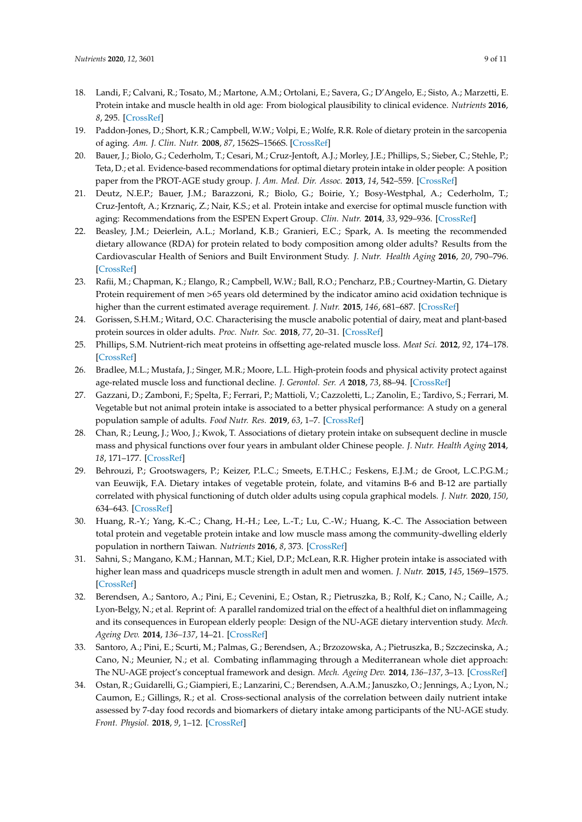- 18. Landi, F.; Calvani, R.; Tosato, M.; Martone, A.M.; Ortolani, E.; Savera, G.; D'Angelo, E.; Sisto, A.; Marzetti, E. Protein intake and muscle health in old age: From biological plausibility to clinical evidence. *Nutrients* **2016**, *8*, 295. [\[CrossRef\]](http://dx.doi.org/10.3390/nu8050295)
- 19. Paddon-Jones, D.; Short, K.R.; Campbell, W.W.; Volpi, E.; Wolfe, R.R. Role of dietary protein in the sarcopenia of aging. *Am. J. Clin. Nutr.* **2008**, *87*, 1562S–1566S. [\[CrossRef\]](http://dx.doi.org/10.1093/ajcn/87.5.1562S)
- 20. Bauer, J.; Biolo, G.; Cederholm, T.; Cesari, M.; Cruz-Jentoft, A.J.; Morley, J.E.; Phillips, S.; Sieber, C.; Stehle, P.; Teta, D.; et al. Evidence-based recommendations for optimal dietary protein intake in older people: A position paper from the PROT-AGE study group. *J. Am. Med. Dir. Assoc.* **2013**, *14*, 542–559. [\[CrossRef\]](http://dx.doi.org/10.1016/j.jamda.2013.05.021)
- <span id="page-8-9"></span>21. Deutz, N.E.P.; Bauer, J.M.; Barazzoni, R.; Biolo, G.; Boirie, Y.; Bosy-Westphal, A.; Cederholm, T.; Cruz-Jentoft, A.; Krznariç, Z.; Nair, K.S.; et al. Protein intake and exercise for optimal muscle function with aging: Recommendations from the ESPEN Expert Group. *Clin. Nutr.* **2014**, *33*, 929–936. [\[CrossRef\]](http://dx.doi.org/10.1016/j.clnu.2014.04.007)
- 22. Beasley, J.M.; Deierlein, A.L.; Morland, K.B.; Granieri, E.C.; Spark, A. Is meeting the recommended dietary allowance (RDA) for protein related to body composition among older adults? Results from the Cardiovascular Health of Seniors and Built Environment Study. *J. Nutr. Health Aging* **2016**, *20*, 790–796. [\[CrossRef\]](http://dx.doi.org/10.1007/s12603-015-0707-5)
- <span id="page-8-0"></span>23. Rafii, M.; Chapman, K.; Elango, R.; Campbell, W.W.; Ball, R.O.; Pencharz, P.B.; Courtney-Martin, G. Dietary Protein requirement of men >65 years old determined by the indicator amino acid oxidation technique is higher than the current estimated average requirement. *J. Nutr.* **2015**, *146*, 681–687. [\[CrossRef\]](http://dx.doi.org/10.3945/jn.115.225631)
- <span id="page-8-1"></span>24. Gorissen, S.H.M.; Witard, O.C. Characterising the muscle anabolic potential of dairy, meat and plant-based protein sources in older adults. *Proc. Nutr. Soc.* **2018**, *77*, 20–31. [\[CrossRef\]](http://dx.doi.org/10.1017/S002966511700194X)
- <span id="page-8-2"></span>25. Phillips, S.M. Nutrient-rich meat proteins in offsetting age-related muscle loss. *Meat Sci.* **2012**, *92*, 174–178. [\[CrossRef\]](http://dx.doi.org/10.1016/j.meatsci.2012.04.027)
- <span id="page-8-3"></span>26. Bradlee, M.L.; Mustafa, J.; Singer, M.R.; Moore, L.L. High-protein foods and physical activity protect against age-related muscle loss and functional decline. *J. Gerontol. Ser. A* **2018**, *73*, 88–94. [\[CrossRef\]](http://dx.doi.org/10.1093/gerona/glx070)
- <span id="page-8-4"></span>27. Gazzani, D.; Zamboni, F.; Spelta, F.; Ferrari, P.; Mattioli, V.; Cazzoletti, L.; Zanolin, E.; Tardivo, S.; Ferrari, M. Vegetable but not animal protein intake is associated to a better physical performance: A study on a general population sample of adults. *Food Nutr. Res.* **2019**, *63*, 1–7. [\[CrossRef\]](http://dx.doi.org/10.29219/fnr.v63.3422)
- <span id="page-8-11"></span>28. Chan, R.; Leung, J.; Woo, J.; Kwok, T. Associations of dietary protein intake on subsequent decline in muscle mass and physical functions over four years in ambulant older Chinese people. *J. Nutr. Health Aging* **2014**, *18*, 171–177. [\[CrossRef\]](http://dx.doi.org/10.1007/s12603-013-0379-y)
- <span id="page-8-10"></span>29. Behrouzi, P.; Grootswagers, P.; Keizer, P.L.C.; Smeets, E.T.H.C.; Feskens, E.J.M.; de Groot, L.C.P.G.M.; van Eeuwijk, F.A. Dietary intakes of vegetable protein, folate, and vitamins B-6 and B-12 are partially correlated with physical functioning of dutch older adults using copula graphical models. *J. Nutr.* **2020**, *150*, 634–643. [\[CrossRef\]](http://dx.doi.org/10.1093/jn/nxz269)
- <span id="page-8-12"></span>30. Huang, R.-Y.; Yang, K.-C.; Chang, H.-H.; Lee, L.-T.; Lu, C.-W.; Huang, K.-C. The Association between total protein and vegetable protein intake and low muscle mass among the community-dwelling elderly population in northern Taiwan. *Nutrients* **2016**, *8*, 373. [\[CrossRef\]](http://dx.doi.org/10.3390/nu8060373)
- <span id="page-8-5"></span>31. Sahni, S.; Mangano, K.M.; Hannan, M.T.; Kiel, D.P.; McLean, R.R. Higher protein intake is associated with higher lean mass and quadriceps muscle strength in adult men and women. *J. Nutr.* **2015**, *145*, 1569–1575. [\[CrossRef\]](http://dx.doi.org/10.3945/jn.114.204925)
- <span id="page-8-6"></span>32. Berendsen, A.; Santoro, A.; Pini, E.; Cevenini, E.; Ostan, R.; Pietruszka, B.; Rolf, K.; Cano, N.; Caille, A.; Lyon-Belgy, N.; et al. Reprint of: A parallel randomized trial on the effect of a healthful diet on inflammageing and its consequences in European elderly people: Design of the NU-AGE dietary intervention study. *Mech. Ageing Dev.* **2014**, *136–137*, 14–21. [\[CrossRef\]](http://dx.doi.org/10.1016/j.mad.2014.03.001)
- <span id="page-8-7"></span>33. Santoro, A.; Pini, E.; Scurti, M.; Palmas, G.; Berendsen, A.; Brzozowska, A.; Pietruszka, B.; Szczecinska, A.; Cano, N.; Meunier, N.; et al. Combating inflammaging through a Mediterranean whole diet approach: The NU-AGE project's conceptual framework and design. *Mech. Ageing Dev.* **2014**, *136–137*, 3–13. [\[CrossRef\]](http://dx.doi.org/10.1016/j.mad.2013.12.001)
- <span id="page-8-8"></span>34. Ostan, R.; Guidarelli, G.; Giampieri, E.; Lanzarini, C.; Berendsen, A.A.M.; Januszko, O.; Jennings, A.; Lyon, N.; Caumon, E.; Gillings, R.; et al. Cross-sectional analysis of the correlation between daily nutrient intake assessed by 7-day food records and biomarkers of dietary intake among participants of the NU-AGE study. *Front. Physiol.* **2018**, *9*, 1–12. [\[CrossRef\]](http://dx.doi.org/10.3389/fphys.2018.01359)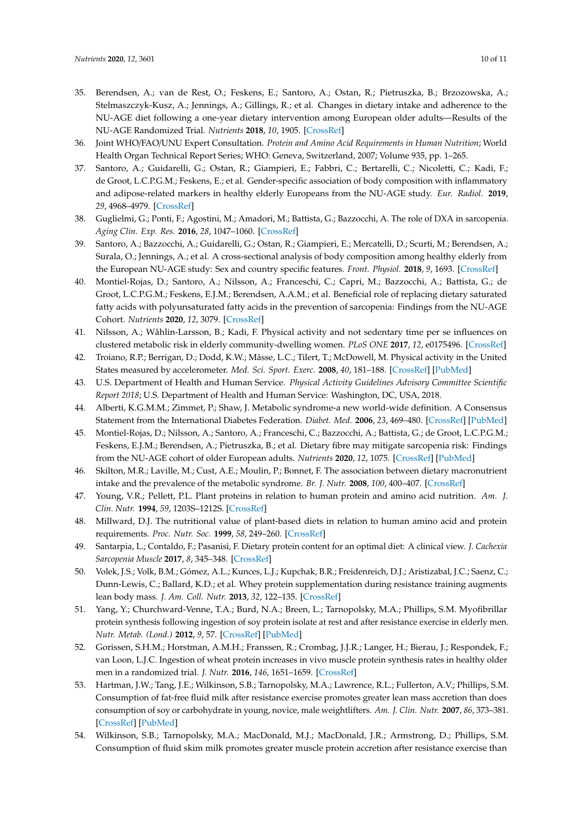- <span id="page-9-0"></span>35. Berendsen, A.; van de Rest, O.; Feskens, E.; Santoro, A.; Ostan, R.; Pietruszka, B.; Brzozowska, A.; Stelmaszczyk-Kusz, A.; Jennings, A.; Gillings, R.; et al. Changes in dietary intake and adherence to the NU-AGE diet following a one-year dietary intervention among European older adults—Results of the NU-AGE Randomized Trial. *Nutrients* **2018**, *10*, 1905. [\[CrossRef\]](http://dx.doi.org/10.3390/nu10121905)
- <span id="page-9-1"></span>36. Joint WHO/FAO/UNU Expert Consultation. *Protein and Amino Acid Requirements in Human Nutrition*; World Health Organ Technical Report Series; WHO: Geneva, Switzerland, 2007; Volume 935, pp. 1–265.
- <span id="page-9-2"></span>37. Santoro, A.; Guidarelli, G.; Ostan, R.; Giampieri, E.; Fabbri, C.; Bertarelli, C.; Nicoletti, C.; Kadi, F.; de Groot, L.C.P.G.M.; Feskens, E.; et al. Gender-specific association of body composition with inflammatory and adipose-related markers in healthy elderly Europeans from the NU-AGE study. *Eur. Radiol.* **2019**, *29*, 4968–4979. [\[CrossRef\]](http://dx.doi.org/10.1007/s00330-018-5973-2)
- 38. Guglielmi, G.; Ponti, F.; Agostini, M.; Amadori, M.; Battista, G.; Bazzocchi, A. The role of DXA in sarcopenia. *Aging Clin. Exp. Res.* **2016**, *28*, 1047–1060. [\[CrossRef\]](http://dx.doi.org/10.1007/s40520-016-0589-3)
- <span id="page-9-3"></span>39. Santoro, A.; Bazzocchi, A.; Guidarelli, G.; Ostan, R.; Giampieri, E.; Mercatelli, D.; Scurti, M.; Berendsen, A.; Surala, O.; Jennings, A.; et al. A cross-sectional analysis of body composition among healthy elderly from the European NU-AGE study: Sex and country specific features. *Front. Physiol.* **2018**, *9*, 1693. [\[CrossRef\]](http://dx.doi.org/10.3389/fphys.2018.01693)
- <span id="page-9-4"></span>40. Montiel-Rojas, D.; Santoro, A.; Nilsson, A.; Franceschi, C.; Capri, M.; Bazzocchi, A.; Battista, G.; de Groot, L.C.P.G.M.; Feskens, E.J.M.; Berendsen, A.A.M.; et al. Beneficial role of replacing dietary saturated fatty acids with polyunsaturated fatty acids in the prevention of sarcopenia: Findings from the NU-AGE Cohort. *Nutrients* **2020**, *12*, 3079. [\[CrossRef\]](http://dx.doi.org/10.3390/nu12103079)
- <span id="page-9-5"></span>41. Nilsson, A.; Wåhlin-Larsson, B.; Kadi, F. Physical activity and not sedentary time per se influences on clustered metabolic risk in elderly community-dwelling women. *PLoS ONE* **2017**, *12*, e0175496. [\[CrossRef\]](http://dx.doi.org/10.1371/journal.pone.0175496)
- <span id="page-9-6"></span>42. Troiano, R.P.; Berrigan, D.; Dodd, K.W.; Mâsse, L.C.; Tilert, T.; McDowell, M. Physical activity in the United States measured by accelerometer. *Med. Sci. Sport. Exerc.* **2008**, *40*, 181–188. [\[CrossRef\]](http://dx.doi.org/10.1249/mss.0b013e31815a51b3) [\[PubMed\]](http://www.ncbi.nlm.nih.gov/pubmed/18091006)
- <span id="page-9-7"></span>43. U.S. Department of Health and Human Service. *Physical Activity Guidelines Advisory Committee Scientific Report 2018*; U.S. Department of Health and Human Service: Washington, DC, USA, 2018.
- <span id="page-9-8"></span>44. Alberti, K.G.M.M.; Zimmet, P.; Shaw, J. Metabolic syndrome-a new world-wide definition. A Consensus Statement from the International Diabetes Federation. *Diabet. Med.* **2006**, *23*, 469–480. [\[CrossRef\]](http://dx.doi.org/10.1111/j.1464-5491.2006.01858.x) [\[PubMed\]](http://www.ncbi.nlm.nih.gov/pubmed/16681555)
- <span id="page-9-9"></span>45. Montiel-Rojas, D.; Nilsson, A.; Santoro, A.; Franceschi, C.; Bazzocchi, A.; Battista, G.; de Groot, L.C.P.G.M.; Feskens, E.J.M.; Berendsen, A.; Pietruszka, B.; et al. Dietary fibre may mitigate sarcopenia risk: Findings from the NU-AGE cohort of older European adults. *Nutrients* **2020**, *12*, 1075. [\[CrossRef\]](http://dx.doi.org/10.3390/nu12041075) [\[PubMed\]](http://www.ncbi.nlm.nih.gov/pubmed/32295007)
- <span id="page-9-10"></span>46. Skilton, M.R.; Laville, M.; Cust, A.E.; Moulin, P.; Bonnet, F. The association between dietary macronutrient intake and the prevalence of the metabolic syndrome. *Br. J. Nutr.* **2008**, *100*, 400–407. [\[CrossRef\]](http://dx.doi.org/10.1017/S0007114507898655)
- <span id="page-9-11"></span>47. Young, V.R.; Pellett, P.L. Plant proteins in relation to human protein and amino acid nutrition. *Am. J. Clin. Nutr.* **1994**, *59*, 1203S–1212S. [\[CrossRef\]](http://dx.doi.org/10.1093/ajcn/59.5.1203S)
- 48. Millward, D.J. The nutritional value of plant-based diets in relation to human amino acid and protein requirements. *Proc. Nutr. Soc.* **1999**, *58*, 249–260. [\[CrossRef\]](http://dx.doi.org/10.1017/S0029665199000348)
- <span id="page-9-12"></span>49. Santarpia, L.; Contaldo, F.; Pasanisi, F. Dietary protein content for an optimal diet: A clinical view. *J. Cachexia Sarcopenia Muscle* **2017**, *8*, 345–348. [\[CrossRef\]](http://dx.doi.org/10.1002/jcsm.12176)
- <span id="page-9-13"></span>50. Volek, J.S.; Volk, B.M.; Gómez, A.L.; Kunces, L.J.; Kupchak, B.R.; Freidenreich, D.J.; Aristizabal, J.C.; Saenz, C.; Dunn-Lewis, C.; Ballard, K.D.; et al. Whey protein supplementation during resistance training augments lean body mass. *J. Am. Coll. Nutr.* **2013**, *32*, 122–135. [\[CrossRef\]](http://dx.doi.org/10.1080/07315724.2013.793580)
- <span id="page-9-14"></span>51. Yang, Y.; Churchward-Venne, T.A.; Burd, N.A.; Breen, L.; Tarnopolsky, M.A.; Phillips, S.M. Myofibrillar protein synthesis following ingestion of soy protein isolate at rest and after resistance exercise in elderly men. *Nutr. Metab. (Lond.)* **2012**, *9*, 57. [\[CrossRef\]](http://dx.doi.org/10.1186/1743-7075-9-57) [\[PubMed\]](http://www.ncbi.nlm.nih.gov/pubmed/22698458)
- <span id="page-9-15"></span>52. Gorissen, S.H.M.; Horstman, A.M.H.; Franssen, R.; Crombag, J.J.R.; Langer, H.; Bierau, J.; Respondek, F.; van Loon, L.J.C. Ingestion of wheat protein increases in vivo muscle protein synthesis rates in healthy older men in a randomized trial. *J. Nutr.* **2016**, *146*, 1651–1659. [\[CrossRef\]](http://dx.doi.org/10.3945/jn.116.231340)
- 53. Hartman, J.W.; Tang, J.E.; Wilkinson, S.B.; Tarnopolsky, M.A.; Lawrence, R.L.; Fullerton, A.V.; Phillips, S.M. Consumption of fat-free fluid milk after resistance exercise promotes greater lean mass accretion than does consumption of soy or carbohydrate in young, novice, male weightlifters. *Am. J. Clin. Nutr.* **2007**, *86*, 373–381. [\[CrossRef\]](http://dx.doi.org/10.1093/ajcn/86.2.373) [\[PubMed\]](http://www.ncbi.nlm.nih.gov/pubmed/17684208)
- 54. Wilkinson, S.B.; Tarnopolsky, M.A.; MacDonald, M.J.; MacDonald, J.R.; Armstrong, D.; Phillips, S.M. Consumption of fluid skim milk promotes greater muscle protein accretion after resistance exercise than